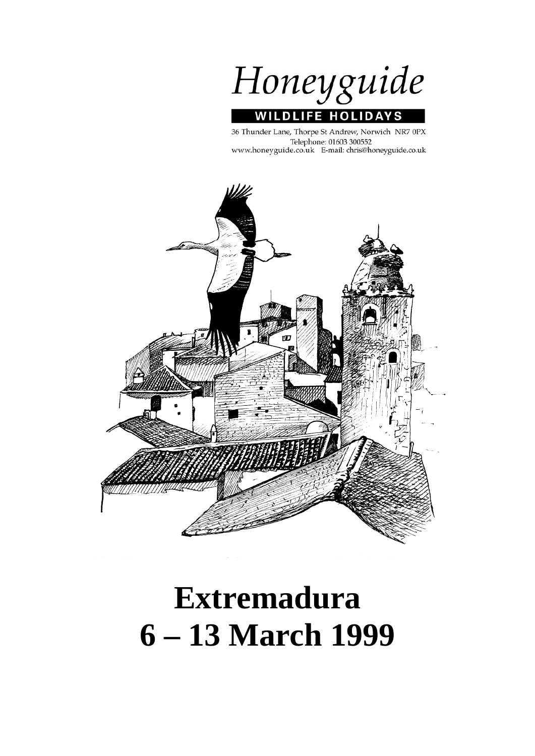

36 Thunder Lane, Thorpe St Andrew, Norwich NR7 0PX Telephone: 01603 300552 www.honeyguide.co.uk E-mail: chris@honeyguide.co.uk



# **Extremadura 6 – 13 March 1999**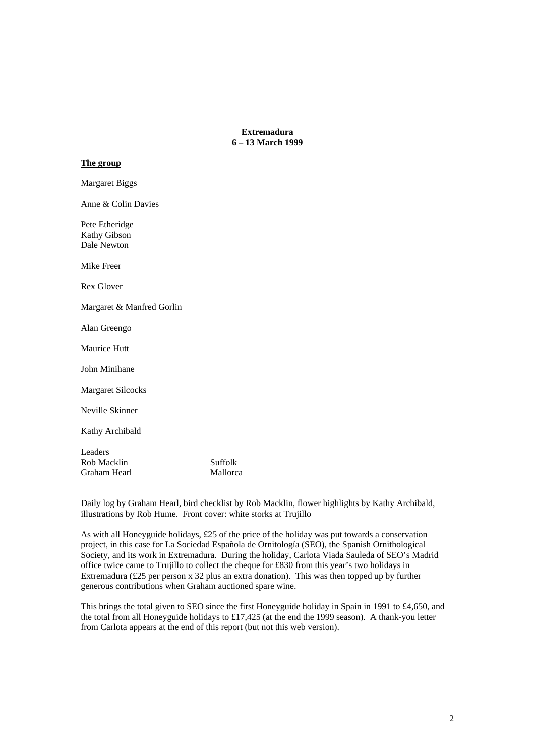**Extremadura 6 – 13 March 1999** 

# **The group**

Margaret Biggs Anne & Colin Davies Pete Etheridge Kathy Gibson Dale Newton Mike Freer Rex Glover Margaret & Manfred Gorlin Alan Greengo Maurice Hutt John Minihane Margaret Silcocks Neville Skinner Kathy Archibald **Leaders** Rob Macklin Suffolk Graham Hearl Mallorca

Daily log by Graham Hearl, bird checklist by Rob Macklin, flower highlights by Kathy Archibald, illustrations by Rob Hume. Front cover: white storks at Trujillo

As with all Honeyguide holidays, £25 of the price of the holiday was put towards a conservation project, in this case for La Sociedad Española de Ornitología (SEO), the Spanish Ornithological Society, and its work in Extremadura. During the holiday, Carlota Viada Sauleda of SEO's Madrid office twice came to Trujillo to collect the cheque for £830 from this year's two holidays in Extremadura (£25 per person x 32 plus an extra donation). This was then topped up by further generous contributions when Graham auctioned spare wine.

This brings the total given to SEO since the first Honeyguide holiday in Spain in 1991 to £4,650, and the total from all Honeyguide holidays to £17,425 (at the end the 1999 season). A thank-you letter from Carlota appears at the end of this report (but not this web version).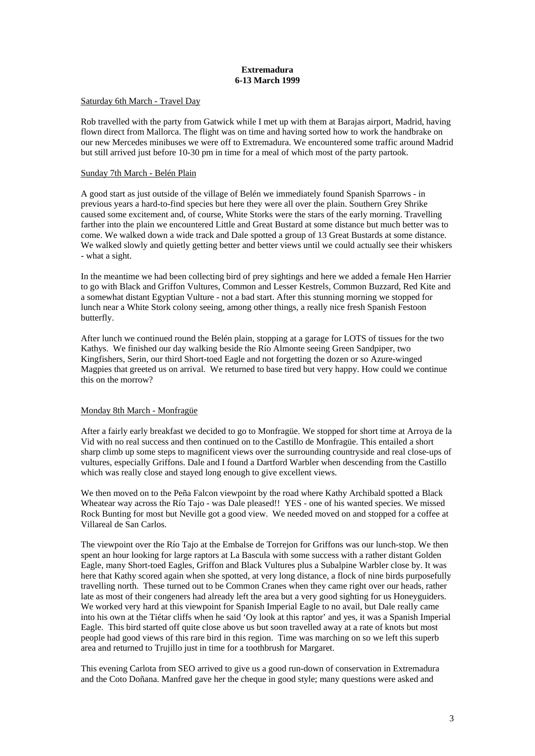# **Extremadura 6-13 March 1999**

# Saturday 6th March - Travel Day

Rob travelled with the party from Gatwick while I met up with them at Barajas airport, Madrid, having flown direct from Mallorca. The flight was on time and having sorted how to work the handbrake on our new Mercedes minibuses we were off to Extremadura. We encountered some traffic around Madrid but still arrived just before 10-30 pm in time for a meal of which most of the party partook.

# Sunday 7th March - Belén Plain

A good start as just outside of the village of Belén we immediately found Spanish Sparrows - in previous years a hard-to-find species but here they were all over the plain. Southern Grey Shrike caused some excitement and, of course, White Storks were the stars of the early morning. Travelling farther into the plain we encountered Little and Great Bustard at some distance but much better was to come. We walked down a wide track and Dale spotted a group of 13 Great Bustards at some distance. We walked slowly and quietly getting better and better views until we could actually see their whiskers - what a sight.

In the meantime we had been collecting bird of prey sightings and here we added a female Hen Harrier to go with Black and Griffon Vultures, Common and Lesser Kestrels, Common Buzzard, Red Kite and a somewhat distant Egyptian Vulture - not a bad start. After this stunning morning we stopped for lunch near a White Stork colony seeing, among other things, a really nice fresh Spanish Festoon butterfly.

After lunch we continued round the Belén plain, stopping at a garage for LOTS of tissues for the two Kathys. We finished our day walking beside the Río Almonte seeing Green Sandpiper, two Kingfishers, Serin, our third Short-toed Eagle and not forgetting the dozen or so Azure-winged Magpies that greeted us on arrival. We returned to base tired but very happy. How could we continue this on the morrow?

# Monday 8th March - Monfragüe

After a fairly early breakfast we decided to go to Monfragüe. We stopped for short time at Arroya de la Vid with no real success and then continued on to the Castillo de Monfragüe. This entailed a short sharp climb up some steps to magnificent views over the surrounding countryside and real close-ups of vultures, especially Griffons. Dale and I found a Dartford Warbler when descending from the Castillo which was really close and stayed long enough to give excellent views.

We then moved on to the Peña Falcon viewpoint by the road where Kathy Archibald spotted a Black Wheatear way across the Río Tajo - was Dale pleased!! YES - one of his wanted species. We missed Rock Bunting for most but Neville got a good view. We needed moved on and stopped for a coffee at Villareal de San Carlos.

The viewpoint over the Río Tajo at the Embalse de Torrejon for Griffons was our lunch-stop. We then spent an hour looking for large raptors at La Bascula with some success with a rather distant Golden Eagle, many Short-toed Eagles, Griffon and Black Vultures plus a Subalpine Warbler close by. It was here that Kathy scored again when she spotted, at very long distance, a flock of nine birds purposefully travelling north. These turned out to be Common Cranes when they came right over our heads, rather late as most of their congeners had already left the area but a very good sighting for us Honeyguiders. We worked very hard at this viewpoint for Spanish Imperial Eagle to no avail, but Dale really came into his own at the Tiétar cliffs when he said 'Oy look at this raptor' and yes, it was a Spanish Imperial Eagle. This bird started off quite close above us but soon travelled away at a rate of knots but most people had good views of this rare bird in this region. Time was marching on so we left this superb area and returned to Trujillo just in time for a toothbrush for Margaret.

This evening Carlota from SEO arrived to give us a good run-down of conservation in Extremadura and the Coto Doñana. Manfred gave her the cheque in good style; many questions were asked and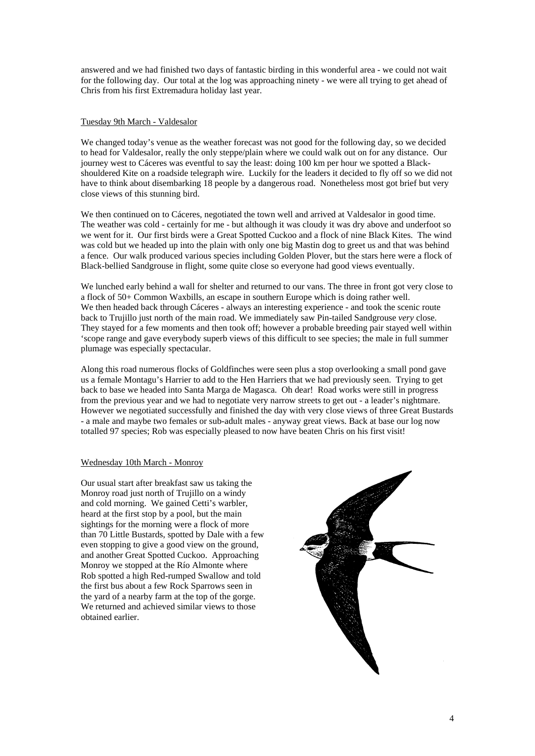answered and we had finished two days of fantastic birding in this wonderful area - we could not wait for the following day. Our total at the log was approaching ninety - we were all trying to get ahead of Chris from his first Extremadura holiday last year.

# Tuesday 9th March - Valdesalor

We changed today's venue as the weather forecast was not good for the following day, so we decided to head for Valdesalor, really the only steppe/plain where we could walk out on for any distance. Our journey west to Cáceres was eventful to say the least: doing 100 km per hour we spotted a Blackshouldered Kite on a roadside telegraph wire. Luckily for the leaders it decided to fly off so we did not have to think about disembarking 18 people by a dangerous road. Nonetheless most got brief but very close views of this stunning bird.

We then continued on to Cáceres, negotiated the town well and arrived at Valdesalor in good time. The weather was cold - certainly for me - but although it was cloudy it was dry above and underfoot so we went for it. Our first birds were a Great Spotted Cuckoo and a flock of nine Black Kites. The wind was cold but we headed up into the plain with only one big Mastin dog to greet us and that was behind a fence. Our walk produced various species including Golden Plover, but the stars here were a flock of Black-bellied Sandgrouse in flight, some quite close so everyone had good views eventually.

We lunched early behind a wall for shelter and returned to our vans. The three in front got very close to a flock of 50+ Common Waxbills, an escape in southern Europe which is doing rather well. We then headed back through Cáceres - always an interesting experience - and took the scenic route back to Trujillo just north of the main road. We immediately saw Pin-tailed Sandgrouse *very* close. They stayed for a few moments and then took off; however a probable breeding pair stayed well within 'scope range and gave everybody superb views of this difficult to see species; the male in full summer plumage was especially spectacular.

Along this road numerous flocks of Goldfinches were seen plus a stop overlooking a small pond gave us a female Montagu's Harrier to add to the Hen Harriers that we had previously seen. Trying to get back to base we headed into Santa Marga de Magasca. Oh dear! Road works were still in progress from the previous year and we had to negotiate very narrow streets to get out - a leader's nightmare. However we negotiated successfully and finished the day with very close views of three Great Bustards - a male and maybe two females or sub-adult males - anyway great views. Back at base our log now totalled 97 species; Rob was especially pleased to now have beaten Chris on his first visit!

# Wednesday 10th March - Monroy

Our usual start after breakfast saw us taking the Monroy road just north of Trujillo on a windy and cold morning. We gained Cetti's warbler, heard at the first stop by a pool, but the main sightings for the morning were a flock of more than 70 Little Bustards, spotted by Dale with a few even stopping to give a good view on the ground, and another Great Spotted Cuckoo. Approaching Monroy we stopped at the Río Almonte where Rob spotted a high Red-rumped Swallow and told the first bus about a few Rock Sparrows seen in the yard of a nearby farm at the top of the gorge. We returned and achieved similar views to those obtained earlier.

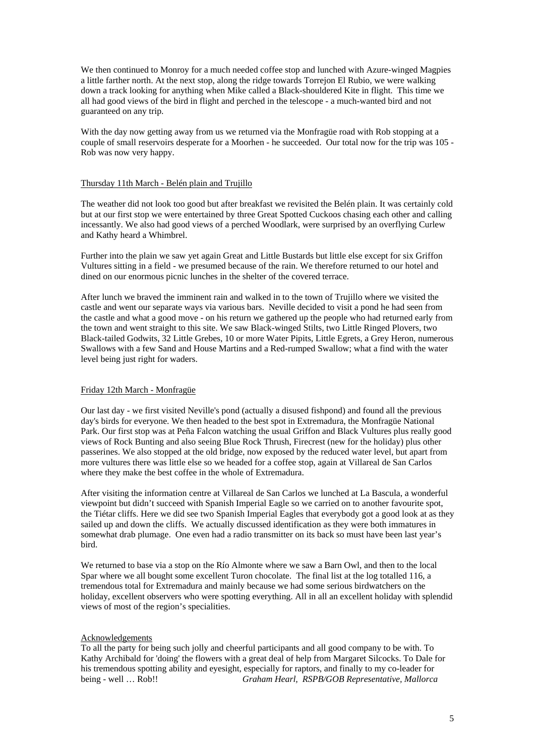We then continued to Monroy for a much needed coffee stop and lunched with Azure-winged Magpies a little farther north. At the next stop, along the ridge towards Torrejon El Rubio, we were walking down a track looking for anything when Mike called a Black-shouldered Kite in flight. This time we all had good views of the bird in flight and perched in the telescope - a much-wanted bird and not guaranteed on any trip.

With the day now getting away from us we returned via the Monfragüe road with Rob stopping at a couple of small reservoirs desperate for a Moorhen - he succeeded. Our total now for the trip was 105 - Rob was now very happy.

# Thursday 11th March - Belén plain and Trujillo

The weather did not look too good but after breakfast we revisited the Belén plain. It was certainly cold but at our first stop we were entertained by three Great Spotted Cuckoos chasing each other and calling incessantly. We also had good views of a perched Woodlark, were surprised by an overflying Curlew and Kathy heard a Whimbrel.

Further into the plain we saw yet again Great and Little Bustards but little else except for six Griffon Vultures sitting in a field - we presumed because of the rain. We therefore returned to our hotel and dined on our enormous picnic lunches in the shelter of the covered terrace.

After lunch we braved the imminent rain and walked in to the town of Trujillo where we visited the castle and went our separate ways via various bars. Neville decided to visit a pond he had seen from the castle and what a good move - on his return we gathered up the people who had returned early from the town and went straight to this site. We saw Black-winged Stilts, two Little Ringed Plovers, two Black-tailed Godwits, 32 Little Grebes, 10 or more Water Pipits, Little Egrets, a Grey Heron, numerous Swallows with a few Sand and House Martins and a Red-rumped Swallow; what a find with the water level being just right for waders.

# Friday 12th March - Monfragüe

Our last day - we first visited Neville's pond (actually a disused fishpond) and found all the previous day's birds for everyone. We then headed to the best spot in Extremadura, the Monfragüe National Park. Our first stop was at Peña Falcon watching the usual Griffon and Black Vultures plus really good views of Rock Bunting and also seeing Blue Rock Thrush, Firecrest (new for the holiday) plus other passerines. We also stopped at the old bridge, now exposed by the reduced water level, but apart from more vultures there was little else so we headed for a coffee stop, again at Villareal de San Carlos where they make the best coffee in the whole of Extremadura.

After visiting the information centre at Villareal de San Carlos we lunched at La Bascula, a wonderful viewpoint but didn't succeed with Spanish Imperial Eagle so we carried on to another favourite spot, the Tiétar cliffs. Here we did see two Spanish Imperial Eagles that everybody got a good look at as they sailed up and down the cliffs. We actually discussed identification as they were both immatures in somewhat drab plumage. One even had a radio transmitter on its back so must have been last year's bird.

We returned to base via a stop on the Río Almonte where we saw a Barn Owl, and then to the local Spar where we all bought some excellent Turon chocolate. The final list at the log totalled 116, a tremendous total for Extremadura and mainly because we had some serious birdwatchers on the holiday, excellent observers who were spotting everything. All in all an excellent holiday with splendid views of most of the region's specialities.

# Acknowledgements

To all the party for being such jolly and cheerful participants and all good company to be with. To Kathy Archibald for 'doing' the flowers with a great deal of help from Margaret Silcocks. To Dale for his tremendous spotting ability and eyesight, especially for raptors, and finally to my co-leader for being - well … Rob!! *Graham Hearl, RSPB/GOB Representative, Mallorca*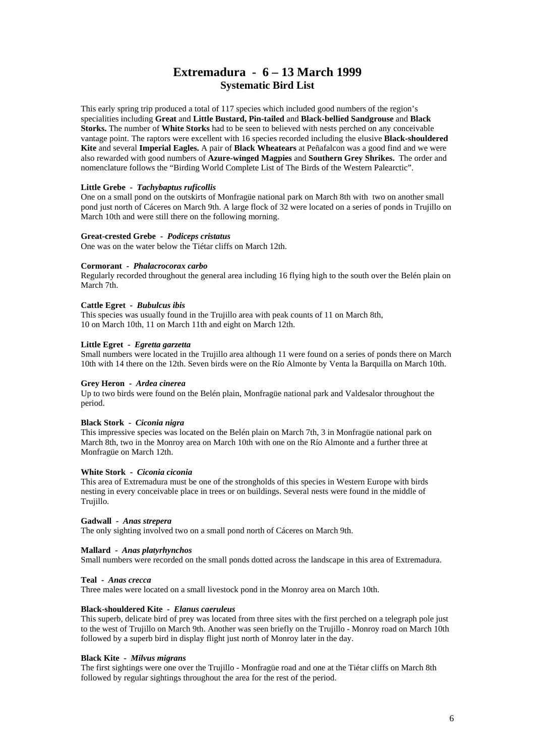# **Extremadura - 6 – 13 March 1999 Systematic Bird List**

This early spring trip produced a total of 117 species which included good numbers of the region's specialities including **Great** and **Little Bustard, Pin-tailed** and **Black-bellied Sandgrouse** and **Black Storks.** The number of **White Storks** had to be seen to believed with nests perched on any conceivable vantage point. The raptors were excellent with 16 species recorded including the elusive **Black-shouldered Kite** and several **Imperial Eagles.** A pair of **Black Wheatears** at Peñafalcon was a good find and we were also rewarded with good numbers of **Azure-winged Magpies** and **Southern Grey Shrikes.** The order and nomenclature follows the "Birding World Complete List of The Birds of the Western Palearctic".

# **Little Grebe -** *Tachybaptus ruficollis*

One on a small pond on the outskirts of Monfragüe national park on March 8th with two on another small pond just north of Cáceres on March 9th. A large flock of 32 were located on a series of ponds in Trujillo on March 10th and were still there on the following morning.

# **Great-crested Grebe -** *Podiceps cristatus*

One was on the water below the Tiétar cliffs on March 12th.

# **Cormorant -** *Phalacrocorax carbo*

Regularly recorded throughout the general area including 16 flying high to the south over the Belén plain on March 7th.

#### **Cattle Egret -** *Bubulcus ibis*

This species was usually found in the Trujillo area with peak counts of 11 on March 8th, 10 on March 10th, 11 on March 11th and eight on March 12th.

# **Little Egret -** *Egretta garzetta*

Small numbers were located in the Trujillo area although 11 were found on a series of ponds there on March 10th with 14 there on the 12th. Seven birds were on the Río Almonte by Venta la Barquilla on March 10th.

# **Grey Heron -** *Ardea cinerea*

Up to two birds were found on the Belén plain, Monfragüe national park and Valdesalor throughout the period.

# **Black Stork -** *Ciconia nigra*

This impressive species was located on the Belén plain on March 7th, 3 in Monfragüe national park on March 8th, two in the Monroy area on March 10th with one on the Río Almonte and a further three at Monfragüe on March 12th.

# **White Stork -** *Ciconia ciconia*

This area of Extremadura must be one of the strongholds of this species in Western Europe with birds nesting in every conceivable place in trees or on buildings. Several nests were found in the middle of Trujillo.

# **Gadwall -** *Anas strepera*

The only sighting involved two on a small pond north of Cáceres on March 9th.

# **Mallard -** *Anas platyrhynchos*

Small numbers were recorded on the small ponds dotted across the landscape in this area of Extremadura.

# **Teal -** *Anas crecca*

Three males were located on a small livestock pond in the Monroy area on March 10th.

# **Black-shouldered Kite -** *Elanus caeruleus*

This superb, delicate bird of prey was located from three sites with the first perched on a telegraph pole just to the west of Trujillo on March 9th. Another was seen briefly on the Trujillo - Monroy road on March 10th followed by a superb bird in display flight just north of Monroy later in the day.

#### **Black Kite -** *Milvus migrans*

The first sightings were one over the Trujillo - Monfragüe road and one at the Tiétar cliffs on March 8th followed by regular sightings throughout the area for the rest of the period.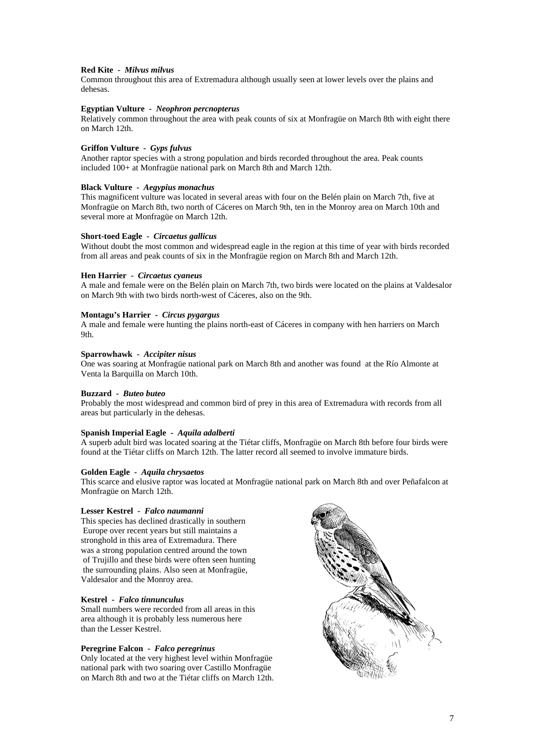# **Red Kite -** *Milvus milvus*

Common throughout this area of Extremadura although usually seen at lower levels over the plains and dehesas.

# **Egyptian Vulture -** *Neophron percnopterus*

Relatively common throughout the area with peak counts of six at Monfragüe on March 8th with eight there on March 12th.

# **Griffon Vulture -** *Gyps fulvus*

Another raptor species with a strong population and birds recorded throughout the area. Peak counts included 100+ at Monfragüe national park on March 8th and March 12th.

# **Black Vulture -** *Aegypius monachus*

This magnificent vulture was located in several areas with four on the Belén plain on March 7th, five at Monfragüe on March 8th, two north of Cáceres on March 9th, ten in the Monroy area on March 10th and several more at Monfragüe on March 12th.

#### **Short-toed Eagle -** *Circaetus gallicus*

Without doubt the most common and widespread eagle in the region at this time of year with birds recorded from all areas and peak counts of six in the Monfragüe region on March 8th and March 12th.

#### **Hen Harrier -** *Circaetus cyaneus*

A male and female were on the Belén plain on March 7th, two birds were located on the plains at Valdesalor on March 9th with two birds north-west of Cáceres, also on the 9th.

# **Montagu's Harrier -** *Circus pygargus*

A male and female were hunting the plains north-east of Cáceres in company with hen harriers on March 9th.

#### **Sparrowhawk -** *Accipiter nisus*

One was soaring at Monfragüe national park on March 8th and another was found at the Río Almonte at Venta la Barquilla on March 10th.

# **Buzzard -** *Buteo buteo*

Probably the most widespread and common bird of prey in this area of Extremadura with records from all areas but particularly in the dehesas.

# **Spanish Imperial Eagle -** *Aquila adalberti*

A superb adult bird was located soaring at the Tiétar cliffs, Monfragüe on March 8th before four birds were found at the Tiétar cliffs on March 12th. The latter record all seemed to involve immature birds.

#### **Golden Eagle -** *Aquila chrysaetos*

This scarce and elusive raptor was located at Monfragüe national park on March 8th and over Peñafalcon at Monfragüe on March 12th.

#### **Lesser Kestrel -** *Falco naumanni*

This species has declined drastically in southern Europe over recent years but still maintains a stronghold in this area of Extremadura. There was a strong population centred around the town of Trujillo and these birds were often seen hunting the surrounding plains. Also seen at Monfragüe, Valdesalor and the Monroy area.

# **Kestrel -** *Falco tinnunculus*

Small numbers were recorded from all areas in this area although it is probably less numerous here than the Lesser Kestrel.

# **Peregrine Falcon -** *Falco peregrinus*

Only located at the very highest level within Monfragüe national park with two soaring over Castillo Monfragüe on March 8th and two at the Tiétar cliffs on March 12th.

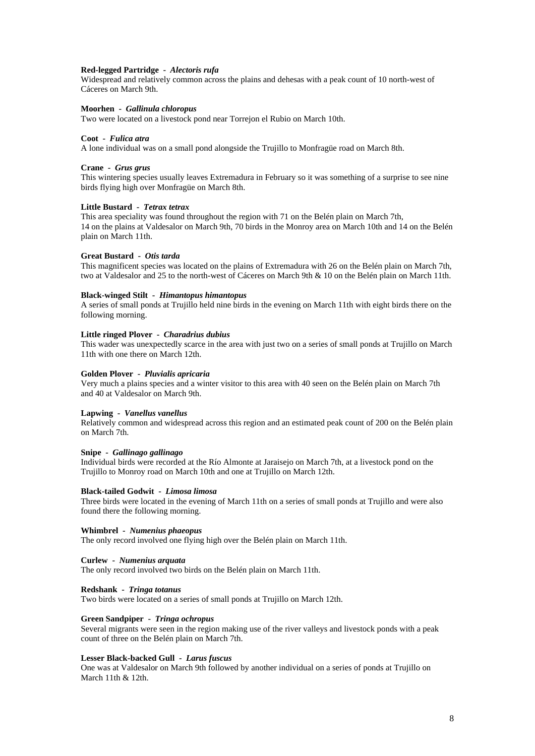#### **Red-legged Partridge -** *Alectoris rufa*

Widespread and relatively common across the plains and dehesas with a peak count of 10 north-west of Cáceres on March 9th.

#### **Moorhen -** *Gallinula chloropus*

Two were located on a livestock pond near Torrejon el Rubio on March 10th.

#### **Coot -** *Fulica atra*

A lone individual was on a small pond alongside the Trujillo to Monfragüe road on March 8th.

#### **Crane -** *Grus grus*

This wintering species usually leaves Extremadura in February so it was something of a surprise to see nine birds flying high over Monfragüe on March 8th.

#### **Little Bustard -** *Tetrax tetrax*

This area speciality was found throughout the region with 71 on the Belén plain on March 7th, 14 on the plains at Valdesalor on March 9th, 70 birds in the Monroy area on March 10th and 14 on the Belén plain on March 11th.

#### **Great Bustard -** *Otis tarda*

This magnificent species was located on the plains of Extremadura with 26 on the Belén plain on March 7th, two at Valdesalor and 25 to the north-west of Cáceres on March 9th & 10 on the Belén plain on March 11th.

#### **Black-winged Stilt -** *Himantopus himantopus*

A series of small ponds at Trujillo held nine birds in the evening on March 11th with eight birds there on the following morning.

#### **Little ringed Plover -** *Charadrius dubius*

This wader was unexpectedly scarce in the area with just two on a series of small ponds at Trujillo on March 11th with one there on March 12th.

#### **Golden Plover -** *Pluvialis apricaria*

Very much a plains species and a winter visitor to this area with 40 seen on the Belén plain on March 7th and 40 at Valdesalor on March 9th.

#### **Lapwing -** *Vanellus vanellus*

Relatively common and widespread across this region and an estimated peak count of 200 on the Belén plain on March 7th.

#### **Snipe -** *Gallinago gallinago*

Individual birds were recorded at the Río Almonte at Jaraisejo on March 7th, at a livestock pond on the Trujillo to Monroy road on March 10th and one at Trujillo on March 12th.

# **Black-tailed Godwit -** *Limosa limosa*

Three birds were located in the evening of March 11th on a series of small ponds at Trujillo and were also found there the following morning.

#### **Whimbrel -** *Numenius phaeopus*

The only record involved one flying high over the Belén plain on March 11th.

# **Curlew -** *Numenius arquata*

The only record involved two birds on the Belén plain on March 11th.

# **Redshank -** *Tringa totanus*

Two birds were located on a series of small ponds at Trujillo on March 12th.

#### **Green Sandpiper -** *Tringa ochropus*

Several migrants were seen in the region making use of the river valleys and livestock ponds with a peak count of three on the Belén plain on March 7th.

#### **Lesser Black-backed Gull -** *Larus fuscus*

One was at Valdesalor on March 9th followed by another individual on a series of ponds at Trujillo on March 11th & 12th.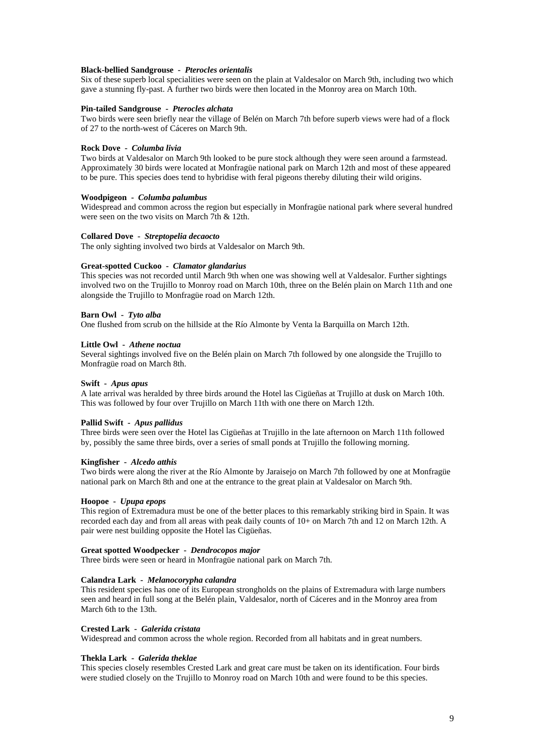# **Black-bellied Sandgrouse -** *Pterocles orientalis*

Six of these superb local specialities were seen on the plain at Valdesalor on March 9th, including two which gave a stunning fly-past. A further two birds were then located in the Monroy area on March 10th.

#### **Pin-tailed Sandgrouse -** *Pterocles alchata*

Two birds were seen briefly near the village of Belén on March 7th before superb views were had of a flock of 27 to the north-west of Cáceres on March 9th.

# **Rock Dove -** *Columba livia*

Two birds at Valdesalor on March 9th looked to be pure stock although they were seen around a farmstead. Approximately 30 birds were located at Monfragüe national park on March 12th and most of these appeared to be pure. This species does tend to hybridise with feral pigeons thereby diluting their wild origins.

# **Woodpigeon -** *Columba palumbus*

Widespread and common across the region but especially in Monfragüe national park where several hundred were seen on the two visits on March 7th & 12th.

#### **Collared Dove -** *Streptopelia decaocto*

The only sighting involved two birds at Valdesalor on March 9th.

# **Great-spotted Cuckoo -** *Clamator glandarius*

This species was not recorded until March 9th when one was showing well at Valdesalor. Further sightings involved two on the Trujillo to Monroy road on March 10th, three on the Belén plain on March 11th and one alongside the Trujillo to Monfragüe road on March 12th.

# **Barn Owl -** *Tyto alba*

One flushed from scrub on the hillside at the Río Almonte by Venta la Barquilla on March 12th.

#### **Little Owl -** *Athene noctua*

Several sightings involved five on the Belén plain on March 7th followed by one alongside the Trujillo to Monfragüe road on March 8th.

#### **Swift -** *Apus apus*

A late arrival was heralded by three birds around the Hotel las Cigüeñas at Trujillo at dusk on March 10th. This was followed by four over Trujillo on March 11th with one there on March 12th.

#### **Pallid Swift -** *Apus pallidus*

Three birds were seen over the Hotel las Cigüeñas at Trujillo in the late afternoon on March 11th followed by, possibly the same three birds, over a series of small ponds at Trujillo the following morning.

#### **Kingfisher -** *Alcedo atthis*

Two birds were along the river at the Río Almonte by Jaraisejo on March 7th followed by one at Monfragüe national park on March 8th and one at the entrance to the great plain at Valdesalor on March 9th.

#### **Hoopoe -** *Upupa epops*

This region of Extremadura must be one of the better places to this remarkably striking bird in Spain. It was recorded each day and from all areas with peak daily counts of 10+ on March 7th and 12 on March 12th. A pair were nest building opposite the Hotel las Cigüeñas.

#### **Great spotted Woodpecker -** *Dendrocopos major*

Three birds were seen or heard in Monfragüe national park on March 7th.

# **Calandra Lark -** *Melanocorypha calandra*

This resident species has one of its European strongholds on the plains of Extremadura with large numbers seen and heard in full song at the Belén plain, Valdesalor, north of Cáceres and in the Monroy area from March 6th to the 13th.

#### **Crested Lark -** *Galerida cristata*

Widespread and common across the whole region. Recorded from all habitats and in great numbers.

#### **Thekla Lark -** *Galerida theklae*

This species closely resembles Crested Lark and great care must be taken on its identification. Four birds were studied closely on the Trujillo to Monroy road on March 10th and were found to be this species.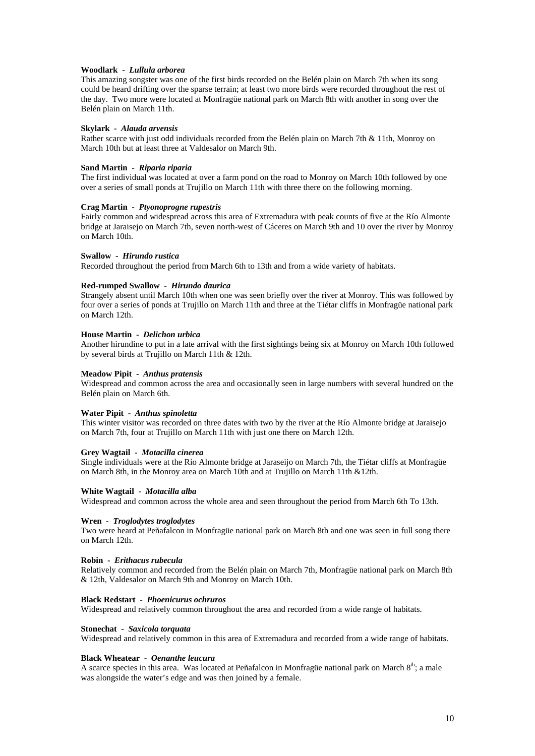# **Woodlark -** *Lullula arborea*

This amazing songster was one of the first birds recorded on the Belén plain on March 7th when its song could be heard drifting over the sparse terrain; at least two more birds were recorded throughout the rest of the day. Two more were located at Monfragüe national park on March 8th with another in song over the Belén plain on March 11th.

#### **Skylark -** *Alauda arvensis*

Rather scarce with just odd individuals recorded from the Belén plain on March 7th & 11th, Monroy on March 10th but at least three at Valdesalor on March 9th.

#### **Sand Martin -** *Riparia riparia*

The first individual was located at over a farm pond on the road to Monroy on March 10th followed by one over a series of small ponds at Trujillo on March 11th with three there on the following morning.

# **Crag Martin -** *Ptyonoprogne rupestris*

Fairly common and widespread across this area of Extremadura with peak counts of five at the Río Almonte bridge at Jaraisejo on March 7th, seven north-west of Cáceres on March 9th and 10 over the river by Monroy on March 10th.

#### **Swallow -** *Hirundo rustica*

Recorded throughout the period from March 6th to 13th and from a wide variety of habitats.

# **Red-rumped Swallow -** *Hirundo daurica*

Strangely absent until March 10th when one was seen briefly over the river at Monroy. This was followed by four over a series of ponds at Trujillo on March 11th and three at the Tiétar cliffs in Monfragüe national park on March 12th.

#### **House Martin -** *Delichon urbica*

Another hirundine to put in a late arrival with the first sightings being six at Monroy on March 10th followed by several birds at Trujillo on March 11th & 12th.

# **Meadow Pipit -** *Anthus pratensis*

Widespread and common across the area and occasionally seen in large numbers with several hundred on the Belén plain on March 6th.

#### **Water Pipit -** *Anthus spinoletta*

This winter visitor was recorded on three dates with two by the river at the Río Almonte bridge at Jaraisejo on March 7th, four at Trujillo on March 11th with just one there on March 12th.

# **Grey Wagtail -** *Motacilla cinerea*

Single individuals were at the Río Almonte bridge at Jaraseijo on March 7th, the Tiétar cliffs at Monfragüe on March 8th, in the Monroy area on March 10th and at Trujillo on March 11th &12th.

# **White Wagtail -** *Motacilla alba*

Widespread and common across the whole area and seen throughout the period from March 6th To 13th.

# **Wren -** *Troglodytes troglodytes*

Two were heard at Peñafalcon in Monfragüe national park on March 8th and one was seen in full song there on March 12th.

# **Robin -** *Erithacus rubecula*

Relatively common and recorded from the Belén plain on March 7th, Monfragüe national park on March 8th & 12th, Valdesalor on March 9th and Monroy on March 10th.

# **Black Redstart -** *Phoenicurus ochruros*

Widespread and relatively common throughout the area and recorded from a wide range of habitats.

#### **Stonechat -** *Saxicola torquata*

Widespread and relatively common in this area of Extremadura and recorded from a wide range of habitats.

#### **Black Wheatear -** *Oenanthe leucura*

A scarce species in this area. Was located at Peñafalcon in Monfragüe national park on March  $8<sup>th</sup>$ ; a male was alongside the water's edge and was then joined by a female.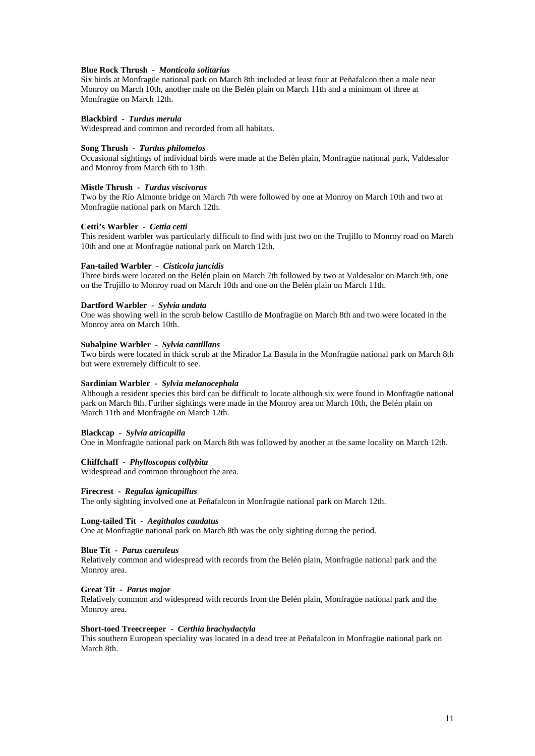#### **Blue Rock Thrush -** *Monticola solitarius*

Six birds at Monfragüe national park on March 8th included at least four at Peñafalcon then a male near Monroy on March 10th, another male on the Belén plain on March 11th and a minimum of three at Monfragüe on March 12th.

# **Blackbird -** *Turdus merula*

Widespread and common and recorded from all habitats.

#### **Song Thrush -** *Turdus philomelos*

Occasional sightings of individual birds were made at the Belén plain, Monfragüe national park, Valdesalor and Monroy from March 6th to 13th.

#### **Mistle Thrush -** *Turdus viscivorus*

Two by the Río Almonte bridge on March 7th were followed by one at Monroy on March 10th and two at Monfragüe national park on March 12th.

#### **Cetti's Warbler -** *Cettia cetti*

This resident warbler was particularly difficult to find with just two on the Trujillo to Monroy road on March 10th and one at Monfragüe national park on March 12th.

#### **Fan-tailed Warbler -** *Cisticola juncidis*

Three birds were located on the Belén plain on March 7th followed by two at Valdesalor on March 9th, one on the Trujillo to Monroy road on March 10th and one on the Belén plain on March 11th.

#### **Dartford Warbler -** *Sylvia undata*

One was showing well in the scrub below Castillo de Monfragüe on March 8th and two were located in the Monroy area on March 10th.

# **Subalpine Warbler -** *Sylvia cantillans*

Two birds were located in thick scrub at the Mirador La Basula in the Monfragüe national park on March 8th but were extremely difficult to see.

#### **Sardinian Warbler -** *Sylvia melanocephala*

Although a resident species this bird can be difficult to locate although six were found in Monfragüe national park on March 8th. Further sightings were made in the Monroy area on March 10th, the Belén plain on March 11th and Monfragüe on March 12th.

#### **Blackcap -** *Sylvia atricapilla*

One in Monfragüe national park on March 8th was followed by another at the same locality on March 12th.

# **Chiffchaff -** *Phylloscopus collybita*

Widespread and common throughout the area.

# **Firecrest -** *Regulus ignicapillus*

The only sighting involved one at Peñafalcon in Monfragüe national park on March 12th.

# **Long-tailed Tit -** *Aegithalos caudatus*

One at Monfragüe national park on March 8th was the only sighting during the period.

#### **Blue Tit -** *Parus caeruleus*

Relatively common and widespread with records from the Belén plain, Monfragüe national park and the Monroy area.

#### **Great Tit -** *Parus major*

Relatively common and widespread with records from the Belén plain, Monfragüe national park and the Monroy area.

# **Short-toed Treecreeper -** *Certhia brachydactyla*

This southern European speciality was located in a dead tree at Peñafalcon in Monfragüe national park on March 8th.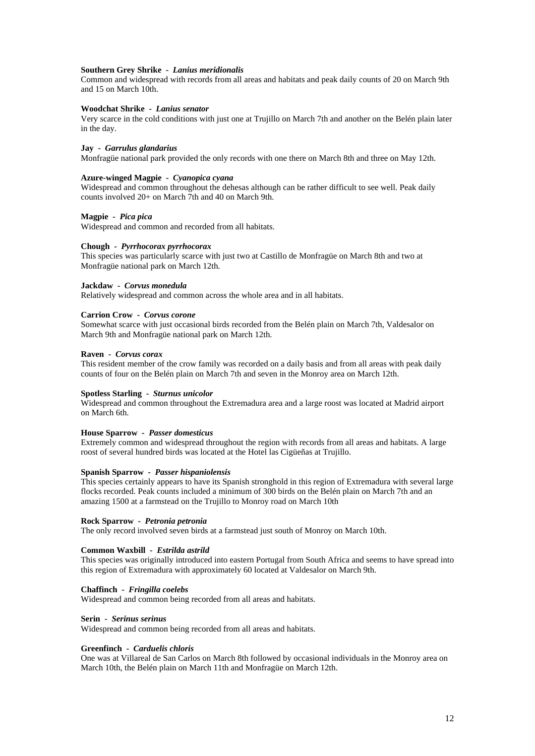#### **Southern Grey Shrike -** *Lanius meridionalis*

Common and widespread with records from all areas and habitats and peak daily counts of 20 on March 9th and 15 on March 10th.

# **Woodchat Shrike -** *Lanius senator*

Very scarce in the cold conditions with just one at Trujillo on March 7th and another on the Belén plain later in the day.

#### **Jay -** *Garrulus glandarius*

Monfragüe national park provided the only records with one there on March 8th and three on May 12th.

#### **Azure-winged Magpie -** *Cyanopica cyana*

Widespread and common throughout the dehesas although can be rather difficult to see well. Peak daily counts involved 20+ on March 7th and 40 on March 9th.

# **Magpie -** *Pica pica*

Widespread and common and recorded from all habitats.

#### **Chough -** *Pyrrhocorax pyrrhocorax*

This species was particularly scarce with just two at Castillo de Monfragüe on March 8th and two at Monfragüe national park on March 12th.

#### **Jackdaw -** *Corvus monedula*

Relatively widespread and common across the whole area and in all habitats.

#### **Carrion Crow -** *Corvus corone*

Somewhat scarce with just occasional birds recorded from the Belén plain on March 7th, Valdesalor on March 9th and Monfragüe national park on March 12th.

#### **Raven -** *Corvus corax*

This resident member of the crow family was recorded on a daily basis and from all areas with peak daily counts of four on the Belén plain on March 7th and seven in the Monroy area on March 12th.

#### **Spotless Starling -** *Sturnus unicolor*

Widespread and common throughout the Extremadura area and a large roost was located at Madrid airport on March 6th.

#### **House Sparrow -** *Passer domesticus*

Extremely common and widespread throughout the region with records from all areas and habitats. A large roost of several hundred birds was located at the Hotel las Cigüeñas at Trujillo.

# **Spanish Sparrow -** *Passer hispaniolensis*

This species certainly appears to have its Spanish stronghold in this region of Extremadura with several large flocks recorded. Peak counts included a minimum of 300 birds on the Belén plain on March 7th and an amazing 1500 at a farmstead on the Trujillo to Monroy road on March 10th

#### **Rock Sparrow -** *Petronia petronia*

The only record involved seven birds at a farmstead just south of Monroy on March 10th.

#### **Common Waxbill -** *Estrilda astrild*

This species was originally introduced into eastern Portugal from South Africa and seems to have spread into this region of Extremadura with approximately 60 located at Valdesalor on March 9th.

#### **Chaffinch -** *Fringilla coelebs*

Widespread and common being recorded from all areas and habitats.

#### **Serin -** *Serinus serinus*

Widespread and common being recorded from all areas and habitats.

#### **Greenfinch -** *Carduelis chloris*

One was at Villareal de San Carlos on March 8th followed by occasional individuals in the Monroy area on March 10th, the Belén plain on March 11th and Monfragüe on March 12th.